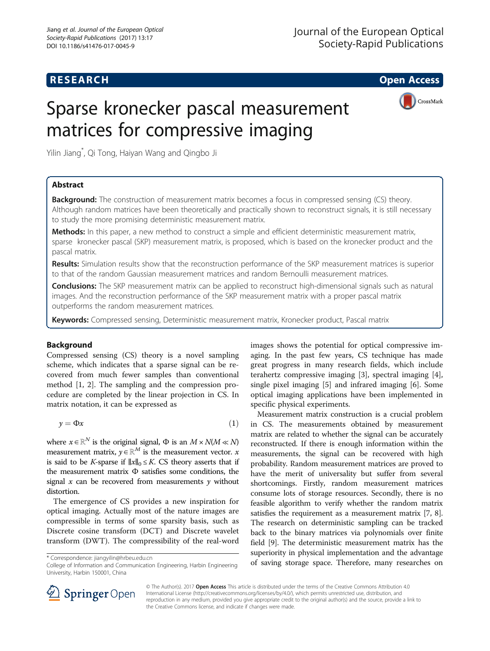## **RESEARCH CHE Open Access**

CrossMark

# Sparse kronecker pascal measurement matrices for compressive imaging

Yilin Jiang\* , Qi Tong, Haiyan Wang and Qingbo Ji

## Abstract

**Background:** The construction of measurement matrix becomes a focus in compressed sensing (CS) theory. Although random matrices have been theoretically and practically shown to reconstruct signals, it is still necessary to study the more promising deterministic measurement matrix.

Methods: In this paper, a new method to construct a simple and efficient deterministic measurement matrix, sparse kronecker pascal (SKP) measurement matrix, is proposed, which is based on the kronecker product and the pascal matrix.

Results: Simulation results show that the reconstruction performance of the SKP measurement matrices is superior to that of the random Gaussian measurement matrices and random Bernoulli measurement matrices.

**Conclusions:** The SKP measurement matrix can be applied to reconstruct high-dimensional signals such as natural images. And the reconstruction performance of the SKP measurement matrix with a proper pascal matrix outperforms the random measurement matrices.

Keywords: Compressed sensing, Deterministic measurement matrix, Kronecker product, Pascal matrix

## Background

Compressed sensing (CS) theory is a novel sampling scheme, which indicates that a sparse signal can be recovered from much fewer samples than conventional method [\[1](#page-3-0), [2](#page-3-0)]. The sampling and the compression procedure are completed by the linear projection in CS. In matrix notation, it can be expressed as

$$
y = \Phi x \tag{1}
$$

where  $x \in \mathbb{R}^N$  is the original signal,  $\Phi$  is an  $M \times N(M \ll N)$ measurement matrix,  $y \in \mathbb{R}^M$  is the measurement vector. x is said to be K-sparse if  $||x||_0 \le K$ . CS theory asserts that if the measurement matrix Φ satisfies some conditions, the signal  $x$  can be recovered from measurements  $y$  without distortion.

The emergence of CS provides a new inspiration for optical imaging. Actually most of the nature images are compressible in terms of some sparsity basis, such as Discrete cosine transform (DCT) and Discrete wavelet transform (DWT). The compressibility of the real-word

College of Information and Communication Engineering, Harbin Engineering University, Harbin 150001, China

images shows the potential for optical compressive imaging. In the past few years, CS technique has made great progress in many research fields, which include terahertz compressive imaging [[3\]](#page-3-0), spectral imaging [\[4](#page-3-0)], single pixel imaging [\[5\]](#page-3-0) and infrared imaging [[6\]](#page-3-0). Some optical imaging applications have been implemented in specific physical experiments.

Measurement matrix construction is a crucial problem in CS. The measurements obtained by measurement matrix are related to whether the signal can be accurately reconstructed. If there is enough information within the measurements, the signal can be recovered with high probability. Random measurement matrices are proved to have the merit of universality but suffer from several shortcomings. Firstly, random measurement matrices consume lots of storage resources. Secondly, there is no feasible algorithm to verify whether the random matrix satisfies the requirement as a measurement matrix [\[7](#page-3-0), [8](#page-3-0)]. The research on deterministic sampling can be tracked back to the binary matrices via polynomials over finite field [\[9\]](#page-3-0). The deterministic measurement matrix has the superiority in physical implementation and the advantage \* Correspondence: [jiangyilin@hrbeu.edu.cn](mailto:jiangyilin@hrbeu.edu.cn)<br>College of Information and Communication Engineering Harbin Engineering of saving storage space. Therefore, many researches on



© The Author(s). 2017 **Open Access** This article is distributed under the terms of the Creative Commons Attribution 4.0 International License ([http://creativecommons.org/licenses/by/4.0/\)](http://creativecommons.org/licenses/by/4.0/), which permits unrestricted use, distribution, and reproduction in any medium, provided you give appropriate credit to the original author(s) and the source, provide a link to the Creative Commons license, and indicate if changes were made.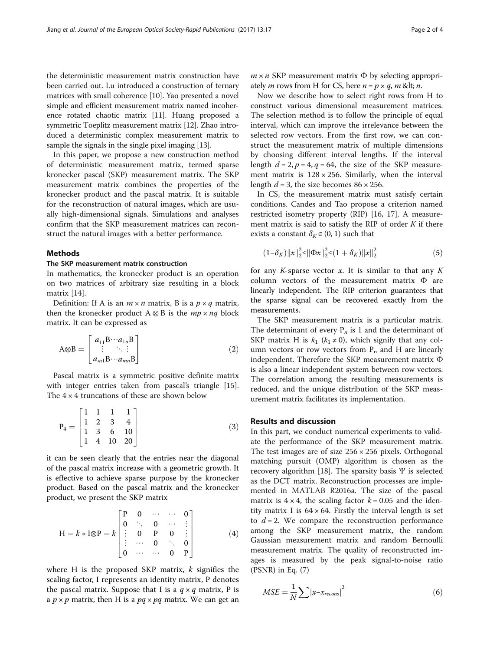the deterministic measurement matrix construction have been carried out. Lu introduced a construction of ternary matrices with small coherence [[10](#page-3-0)]. Yao presented a novel simple and efficient measurement matrix named incoherence rotated chaotic matrix [[11](#page-3-0)]. Huang proposed a symmetric Toeplitz measurement matrix [\[12\]](#page-3-0). Zhao introduced a deterministic complex measurement matrix to sample the signals in the single pixel imaging [\[13\]](#page-3-0).

In this paper, we propose a new construction method of deterministic measurement matrix, termed sparse kronecker pascal (SKP) measurement matrix. The SKP measurement matrix combines the properties of the kronecker product and the pascal matrix. It is suitable for the reconstruction of natural images, which are usually high-dimensional signals. Simulations and analyses confirm that the SKP measurement matrices can reconstruct the natural images with a better performance.

#### Methods

#### The SKP measurement matrix construction

In mathematics, the kronecker product is an operation on two matrices of arbitrary size resulting in a block matrix [[14](#page-3-0)].

Definition: If A is an  $m \times n$  matrix, B is a  $p \times q$  matrix, then the kronecker product  $A \otimes B$  is the  $mp \times nq$  block matrix. It can be expressed as

$$
A \otimes B = \begin{bmatrix} a_{11}B \cdots a_{1n}B \\ \vdots & \ddots & \vdots \\ a_{m1}B \cdots a_{mn}B \end{bmatrix}
$$
 (2)

Pascal matrix is a symmetric positive definite matrix with integer entries taken from pascal's triangle [\[15](#page-3-0)]. The  $4 \times 4$  truncations of these are shown below

$$
P_4 = \begin{bmatrix} 1 & 1 & 1 & 1 \\ 1 & 2 & 3 & 4 \\ 1 & 3 & 6 & 10 \\ 1 & 4 & 10 & 20 \end{bmatrix}
$$
 (3)

it can be seen clearly that the entries near the diagonal of the pascal matrix increase with a geometric growth. It is effective to achieve sparse purpose by the kronecker product. Based on the pascal matrix and the kronecker product, we present the SKP matrix

$$
H = k * I \otimes P = k \begin{bmatrix} P & 0 & \cdots & \cdots & 0 \\ 0 & \ddots & 0 & \cdots & \vdots \\ \vdots & 0 & P & 0 & \vdots \\ \vdots & \cdots & 0 & \ddots & 0 \\ 0 & \cdots & \cdots & 0 & P \end{bmatrix}
$$
 (4)

where H is the proposed SKP matrix,  $k$  signifies the scaling factor, I represents an identity matrix, P denotes the pascal matrix. Suppose that I is a  $q \times q$  matrix, P is a  $p \times p$  matrix, then H is a  $pq \times pq$  matrix. We can get an  $m \times n$  SKP measurement matrix  $\Phi$  by selecting appropriately *m* rows from H for CS, here  $n = p \times q$ , *m* & lt; *n*.

Now we describe how to select right rows from H to construct various dimensional measurement matrices. The selection method is to follow the principle of equal interval, which can improve the irrelevance between the selected row vectors. From the first row, we can construct the measurement matrix of multiple dimensions by choosing different interval lengths. If the interval length  $d = 2$ ,  $p = 4$ ,  $q = 64$ , the size of the SKP measurement matrix is  $128 \times 256$ . Similarly, when the interval length  $d = 3$ , the size becomes  $86 \times 256$ .

In CS, the measurement matrix must satisfy certain conditions. Candes and Tao propose a criterion named restricted isometry property (RIP) [\[16](#page-3-0), [17](#page-3-0)]. A measurement matrix is said to satisfy the RIP of order  $K$  if there exists a constant  $\delta_K \in (0, 1)$  such that

$$
(1 - \delta_K) \|x\|_2^2 \le \|\Phi x\|_2^2 \le (1 + \delta_K) \|x\|_2^2 \tag{5}
$$

for any K-sparse vector x. It is similar to that any K column vectors of the measurement matrix Φ are linearly independent. The RIP criterion guarantees that the sparse signal can be recovered exactly from the measurements.

The SKP measurement matrix is a particular matrix. The determinant of every  $P_n$  is 1 and the determinant of SKP matrix H is  $k_1$  ( $k_1 \neq 0$ ), which signify that any column vectors or row vectors from  $P_n$  and H are linearly independent. Therefore the SKP measurement matrix Φ is also a linear independent system between row vectors. The correlation among the resulting measurements is reduced, and the unique distribution of the SKP measurement matrix facilitates its implementation.

### Results and discussion

In this part, we conduct numerical experiments to validate the performance of the SKP measurement matrix. The test images are of size  $256 \times 256$  pixels. Orthogonal matching pursuit (OMP) algorithm is chosen as the recovery algorithm [\[18](#page-3-0)]. The sparsity basis  $\Psi$  is selected as the DCT matrix. Reconstruction processes are implemented in MATLAB R2016a. The size of the pascal matrix is  $4 \times 4$ , the scaling factor  $k = 0.05$  and the identity matrix I is  $64 \times 64$ . Firstly the interval length is set to  $d = 2$ . We compare the reconstruction performance among the SKP measurement matrix, the random Gaussian measurement matrix and random Bernoulli measurement matrix. The quality of reconstructed images is measured by the peak signal-to-noise ratio (PSNR) in Eq. (7)

$$
MSE = \frac{1}{N} \sum |x - x_{recons}|^2 \tag{6}
$$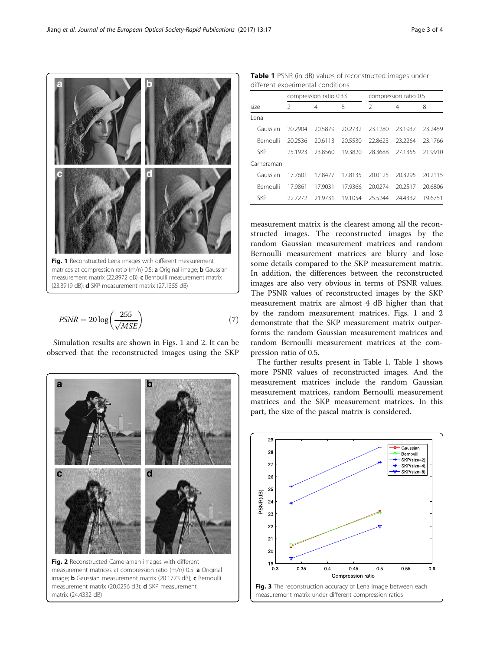Simulation results are shown in Figs. 1 and 2. It can be observed that the reconstructed images using the SKP

Fig. 1 Reconstructed Lena images with different measurement matrices at compression ratio (m/n) 0.5: **a** Original image; **b** Gaussian measurement matrix (22.8972 dB); c Bernoulli measurement matrix

(23.3919 dB); **d** SKP measurement matrix (27.1355 dB)

 $PSNR = 20 \log \left( \frac{255}{\sqrt{MSE}} \right)$  (7)



<span id="page-2-0"></span>Table 1 PSNR (in dB) values of reconstructed images under different experimental conditions

|            | compression ratio 0.33 |         |         | compression ratio 0.5 |         |         |
|------------|------------------------|---------|---------|-----------------------|---------|---------|
| size       | $\mathcal{P}$          | 4       | 8       | $\mathfrak{D}$        | 4       | 8       |
| Lena       |                        |         |         |                       |         |         |
| Gaussian   | 20.2904                | 20.5879 | 20.2732 | 23.1280               | 23.1937 | 23.2459 |
| Bernoulli  | 20.2536                | 20.6113 | 20.5530 | 22.8623               | 23.2264 | 23.1766 |
| <b>SKP</b> | 25.1923                | 23.8560 | 19.3820 | 28.3688               | 27.1355 | 21.9910 |
| Cameraman  |                        |         |         |                       |         |         |
| Gaussian   | 17.7601                | 17.8477 | 178135  | 20.0125               | 20.3295 | 20.2115 |
| Bernoulli  | 17,9861                | 17.9031 | 17.9366 | 20.0274               | 20.2517 | 20.6806 |
| <b>SKP</b> | 22 72 72               | 21.9731 | 19.1054 | 25.5244               | 24.4332 | 19.6751 |

measurement matrix is the clearest among all the reconstructed images. The reconstructed images by the random Gaussian measurement matrices and random Bernoulli measurement matrices are blurry and lose some details compared to the SKP measurement matrix. In addition, the differences between the reconstructed images are also very obvious in terms of PSNR values. The PSNR values of reconstructed images by the SKP measurement matrix are almost 4 dB higher than that by the random measurement matrices. Figs. 1 and 2 demonstrate that the SKP measurement matrix outperforms the random Gaussian measurement matrices and random Bernoulli measurement matrices at the compression ratio of 0.5.

The further results present in Table 1. Table 1 shows more PSNR values of reconstructed images. And the measurement matrices include the random Gaussian measurement matrices, random Bernoulli measurement matrices and the SKP measurement matrices. In this part, the size of the pascal matrix is considered.